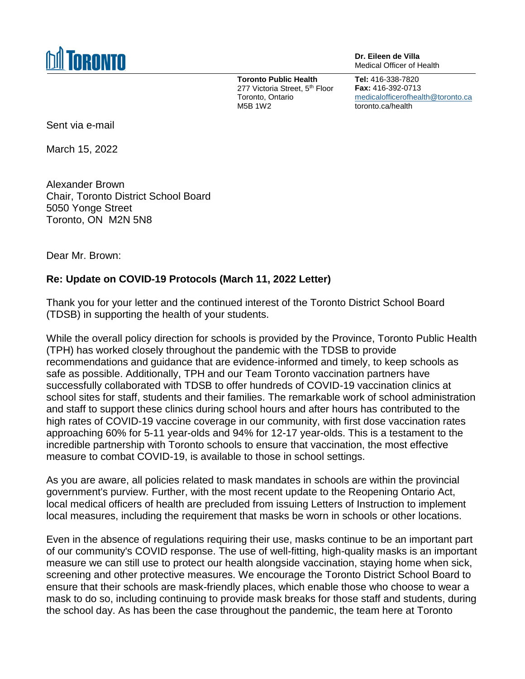

**Dr. Eileen de Villa** Medical Officer of Health

**Toronto Public Health** 277 Victoria Street, 5<sup>th</sup> Floor Toronto, Ontario M5B 1W2

**Tel:** 416-338-7820 **Fax:** 416-392-0713 [medicalofficerofhealth@toronto.ca](mailto:medicalofficerofhealth@toronto.ca) toronto.ca/health

Sent via e-mail

March 15, 2022

Alexander Brown Chair, Toronto District School Board 5050 Yonge Street Toronto, ON M2N 5N8

Dear Mr. Brown:

## **Re: Update on COVID-19 Protocols (March 11, 2022 Letter)**

Thank you for your letter and the continued interest of the Toronto District School Board (TDSB) in supporting the health of your students.

While the overall policy direction for schools is provided by the Province, Toronto Public Health (TPH) has worked closely throughout the pandemic with the TDSB to provide recommendations and guidance that are evidence-informed and timely, to keep schools as safe as possible. Additionally, TPH and our Team Toronto vaccination partners have successfully collaborated with TDSB to offer hundreds of COVID-19 vaccination clinics at school sites for staff, students and their families. The remarkable work of school administration and staff to support these clinics during school hours and after hours has contributed to the high rates of COVID-19 vaccine coverage in our community, with first dose vaccination rates approaching 60% for 5-11 year-olds and 94% for 12-17 year-olds. This is a testament to the incredible partnership with Toronto schools to ensure that vaccination, the most effective measure to combat COVID-19, is available to those in school settings.

As you are aware, all policies related to mask mandates in schools are within the provincial government's purview. Further, with the most recent update to the Reopening Ontario Act, local medical officers of health are precluded from issuing Letters of Instruction to implement local measures, including the requirement that masks be worn in schools or other locations.

Even in the absence of regulations requiring their use, masks continue to be an important part of our community's COVID response. The use of well-fitting, high-quality masks is an important measure we can still use to protect our health alongside vaccination, staying home when sick, screening and other protective measures. We encourage the Toronto District School Board to ensure that their schools are mask-friendly places, which enable those who choose to wear a mask to do so, including continuing to provide mask breaks for those staff and students, during the school day. As has been the case throughout the pandemic, the team here at Toronto